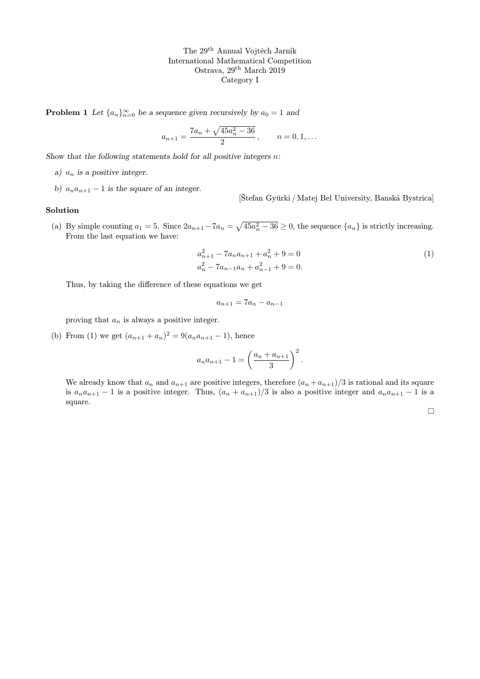**Problem 1** Let  $\{a_n\}_{n=0}^{\infty}$  be a sequence given recursively by  $a_0 = 1$  and

$$
a_{n+1} = \frac{7a_n + \sqrt{45a_n^2 - 36}}{2}, \qquad n = 0, 1, \dots
$$

Show that the following statements hold for all positive integers  $n$ :

- a)  $a_n$  is a positive integer.
- b)  $a_n a_{n+1} 1$  is the square of an integer.

[Štefan Gyürki / Matej Bel University, Banská Bystrica]

## Solution

(a) By simple counting  $a_1 = 5$ . Since  $2a_{n+1} - 7a_n = \sqrt{45a_n^2 - 36} \ge 0$ , the sequence  $\{a_n\}$  is strictly increasing. From the last equation we have:

$$
a_{n+1}^2 - 7a_n a_{n+1} + a_n^2 + 9 = 0
$$
  
\n
$$
a_n^2 - 7a_{n-1}a_n + a_{n-1}^2 + 9 = 0.
$$
\n(1)

Thus, by taking the difference of these equations we get

$$
a_{n+1} = 7a_n - a_{n-1}
$$

proving that  $a_n$  is always a positive integer.

(b) From (1) we get  $(a_{n+1} + a_n)^2 = 9(a_n a_{n+1} - 1)$ , hence

$$
a_n a_{n+1} - 1 = \left(\frac{a_n + a_{n+1}}{3}\right)^2.
$$

We already know that  $a_n$  and  $a_{n+1}$  are positive integers, therefore  $(a_n + a_{n+1})/3$  is rational and its square is  $a_na_{n+1} - 1$  is a positive integer. Thus,  $(a_n + a_{n+1})/3$  is also a positive integer and  $a_na_{n+1} - 1$  is a square.

 $\Box$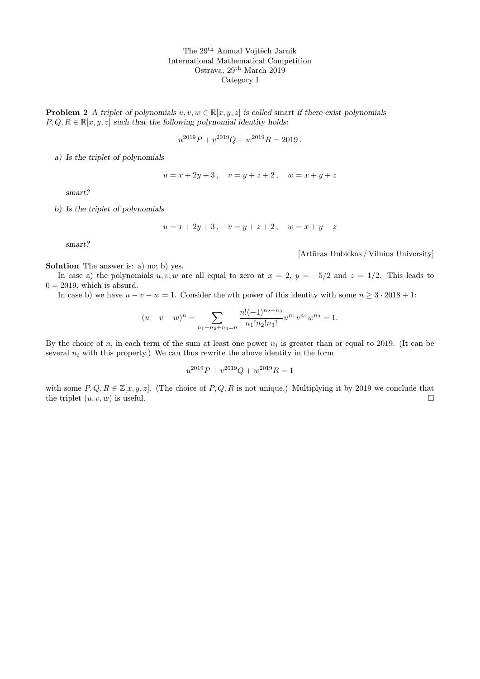**Problem 2** A triplet of polynomials  $u, v, w \in \mathbb{R}[x, y, z]$  is called smart if there exist polynomials  $P, Q, R \in \mathbb{R}[x, y, z]$  such that the following polynomial identity holds:

$$
u^{2019}P + v^{2019}Q + w^{2019}R = 2019.
$$

a) Is the triplet of polynomials

$$
u = x + 2y + 3, \quad v = y + z + 2, \quad w = x + y + z
$$

smart?

b) Is the triplet of polynomials

$$
u = x + 2y + 3 \,, \quad v = y + z + 2 \,, \quad w = x + y - z
$$

smart?

[Artūras Dubickas / Vilnius University]

Solution The answer is: a) no; b) yes.

In case a) the polynomials  $u, v, w$  are all equal to zero at  $x = 2$ ,  $y = -5/2$  and  $z = 1/2$ . This leads to  $0 = 2019$ , which is absurd.

In case b) we have  $u - v - w = 1$ . Consider the *n*th power of this identity with some  $n \geq 3 \cdot 2018 + 1$ :

$$
(u-v-w)^n = \sum_{n_1+n_2+n_3=n} \frac{n!(-1)^{n_2+n_3}}{n_1!n_2!n_3!} u^{n_1}v^{n_2}w^{n_3} = 1.
$$

By the choice of n, in each term of the sum at least one power  $n_i$  is greater than or equal to 2019. (It can be several  $n_i$  with this property.) We can thus rewrite the above identity in the form

$$
u^{2019}P + v^{2019}Q + w^{2019}R = 1
$$

with some  $P, Q, R \in \mathbb{Z}[x, y, z]$ . (The choice of  $P, Q, R$  is not unique.) Multiplying it by 2019 we conclude that the triplet  $(u, v, w)$  is useful.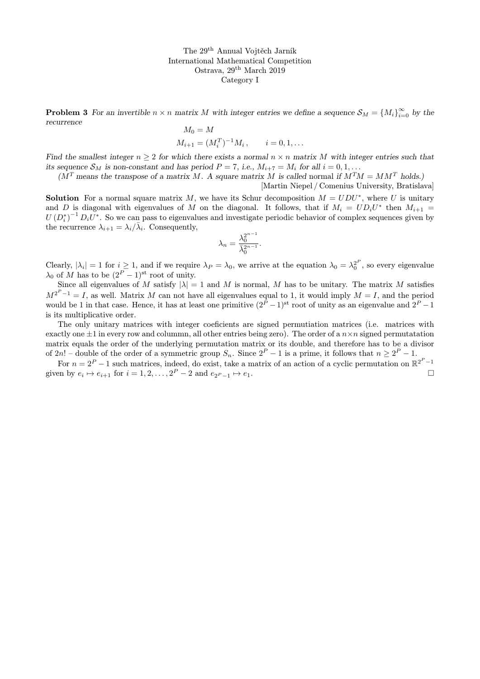**Problem 3** For an invertible  $n \times n$  matrix M with integer entries we define a sequence  $S_M = \{M_i\}_{i=0}^{\infty}$  by the recurrence  $M = M$ 

$$
M_0 = M
$$
  

$$
M_{i+1} = (M_i^T)^{-1} M_i, \qquad i = 0, 1, \dots
$$

Find the smallest integer  $n \geq 2$  for which there exists a normal  $n \times n$  matrix M with integer entries such that its sequence  $S_M$  is non-constant and has period  $P = 7$ , i.e.,  $M_{i+7} = M_i$  for all  $i = 0, 1, \ldots$ 

 $(M<sup>T</sup>$  means the transpose of a matrix M. A square matrix M is called normal if  $M<sup>T</sup>M = MM<sup>T</sup>$  holds.)

[Martin Niepel / Comenius University, Bratislava]

**Solution** For a normal square matrix M, we have its Schur decomposition  $M = UDU^*$ , where U is unitary and D is diagonal with eigenvalues of M on the diagonal. It follows, that if  $M_i = UD_iU^*$  then  $M_{i+1}$  $U(D_i^*)^{-1} D_i U^*$ . So we can pass to eigenvalues and investigate periodic behavior of complex sequences given by the recurrence  $\lambda_{i+1} = \lambda_i / \bar{\lambda}_i$ . Consequently,

$$
\lambda_n = \frac{\lambda_0^{2^{n-1}}}{\bar{\lambda}_0^{2^{n-1}}}.
$$

Clearly,  $|\lambda_i| = 1$  for  $i \geq 1$ , and if we require  $\lambda_P = \lambda_0$ , we arrive at the equation  $\lambda_0 = \lambda_0^2$ , so every eigenvalue  $\lambda_0$  of M has to be  $(2^P - 1)$ <sup>st</sup> root of unity.

Since all eigenvalues of M satisfy  $|\lambda| = 1$  and M is normal, M has to be unitary. The matrix M satisfies  $M^{2^P-1} = I$ , as well. Matrix M can not have all eigenvalues equal to 1, it would imply  $M = I$ , and the period would be 1 in that case. Hence, it has at least one primitive  $(2^P - 1)^{st}$  root of unity as an eigenvalue and  $2^P - 1$ is its multiplicative order.

The only unitary matrices with integer coeficients are signed permutiation matrices (i.e. matrices with exactly one  $\pm 1$  in every row and colummn, all other entries being zero). The order of a  $n \times n$  signed permutatation matrix equals the order of the underlying permutation matrix or its double, and therefore has to be a divisor of 2n! – double of the order of a symmetric group  $S_n$ . Since  $2^P - 1$  is a prime, it follows that  $n \ge 2^P - 1$ .

For  $n = 2^P - 1$  such matrices, indeed, do exist, take a matrix of an action of a cyclic permutation on  $\mathbb{R}^{2^P - 1}$ given by  $e_i \mapsto e_{i+1}$  for  $i = 1, 2, ..., 2^P - 2$  and  $e_{2^P-1} \mapsto e_1$ .